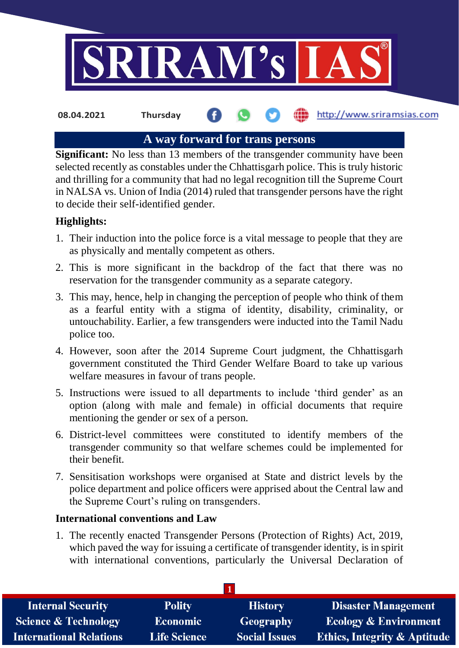

**08.04.2021 Thursday**

## http://www.sriramsias.com

# **A way forward for trans persons**

**Significant:** No less than 13 members of the transgender community have been selected recently as constables under the Chhattisgarh police. This is truly historic and thrilling for a community that had no legal recognition till the Supreme Court in NALSA vs. Union of India (2014) ruled that transgender persons have the right to decide their self-identified gender.

# **Highlights:**

- 1. Their induction into the police force is a vital message to people that they are as physically and mentally competent as others.
- 2. This is more significant in the backdrop of the fact that there was no reservation for the transgender community as a separate category.
- 3. This may, hence, help in changing the perception of people who think of them as a fearful entity with a stigma of identity, disability, criminality, or untouchability. Earlier, a few transgenders were inducted into the Tamil Nadu police too.
- 4. However, soon after the 2014 Supreme Court judgment, the Chhattisgarh government constituted the Third Gender Welfare Board to take up various welfare measures in favour of trans people.
- 5. Instructions were issued to all departments to include 'third gender' as an option (along with male and female) in official documents that require mentioning the gender or sex of a person.
- 6. District-level committees were constituted to identify members of the transgender community so that welfare schemes could be implemented for their benefit.
- 7. Sensitisation workshops were organised at State and district levels by the police department and police officers were apprised about the Central law and the Supreme Court's ruling on transgenders.

# **International conventions and Law**

1. The recently enacted Transgender Persons (Protection of Rights) Act, 2019, which paved the way for issuing a certificate of transgender identity, is in spirit with international conventions, particularly the Universal Declaration of

| <b>Internal Security</b>        | <b>Polity</b>       | <b>History</b>       | <b>Disaster Management</b>              |
|---------------------------------|---------------------|----------------------|-----------------------------------------|
| <b>Science &amp; Technology</b> | Economic            | Geography            | <b>Ecology &amp; Environment</b>        |
| <b>International Relations</b>  | <b>Life Science</b> | <b>Social Issues</b> | <b>Ethics, Integrity &amp; Aptitude</b> |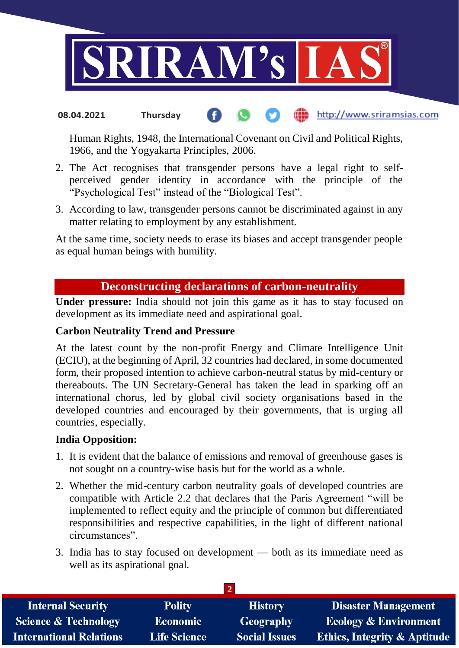

#### http://www.sriramsias.com **08.04.2021 Thursday**

Human Rights, 1948, the International Covenant on Civil and Political Rights, 1966, and the Yogyakarta Principles, 2006.

- 2. The Act recognises that transgender persons have a legal right to selfperceived gender identity in accordance with the principle of the "Psychological Test" instead of the "Biological Test".
- 3. According to law, transgender persons cannot be discriminated against in any matter relating to employment by any establishment.

At the same time, society needs to erase its biases and accept transgender people as equal human beings with humility.

## **Deconstructing declarations of carbon-neutrality**

**Under pressure:** India should not join this game as it has to stay focused on development as its immediate need and aspirational goal.

### **Carbon Neutrality Trend and Pressure**

At the latest count by the non-profit Energy and Climate Intelligence Unit (ECIU), at the beginning of April, 32 countries had declared, in some documented form, their proposed intention to achieve carbon-neutral status by mid-century or thereabouts. The UN Secretary-General has taken the lead in sparking off an international chorus, led by global civil society organisations based in the developed countries and encouraged by their governments, that is urging all countries, especially.

### **India Opposition:**

- 1. It is evident that the balance of emissions and removal of greenhouse gases is not sought on a country-wise basis but for the world as a whole.
- 2. Whether the mid-century carbon neutrality goals of developed countries are compatible with Article 2.2 that declares that the Paris Agreement "will be implemented to reflect equity and the principle of common but differentiated responsibilities and respective capabilities, in the light of different national circumstances".
- 3. India has to stay focused on development both as its immediate need as well as its aspirational goal.

| <b>Internal Security</b>        | <b>Polity</b>       | <b>History</b>       | <b>Disaster Management</b>              |
|---------------------------------|---------------------|----------------------|-----------------------------------------|
| <b>Science &amp; Technology</b> | <b>Economic</b>     | <b>Geography</b>     | <b>Ecology &amp; Environment</b>        |
| <b>International Relations</b>  | <b>Life Science</b> | <b>Social Issues</b> | <b>Ethics, Integrity &amp; Aptitude</b> |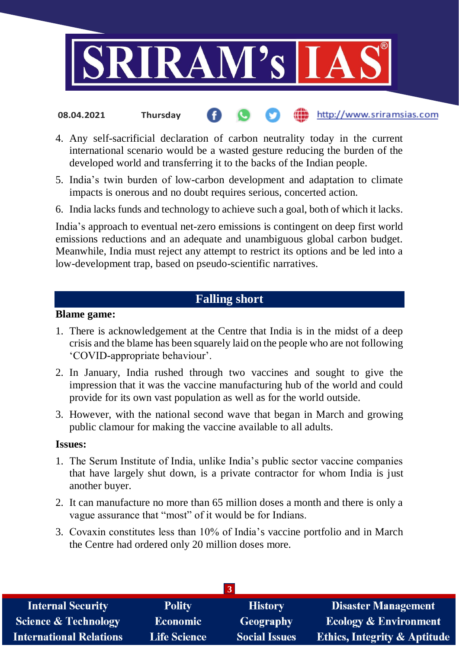

- http://www.sriramsias.com **08.04.2021 Thursday**
- 4. Any self-sacrificial declaration of carbon neutrality today in the current international scenario would be a wasted gesture reducing the burden of the developed world and transferring it to the backs of the Indian people.
- 5. India's twin burden of low-carbon development and adaptation to climate impacts is onerous and no doubt requires serious, concerted action.
- 6. India lacks funds and technology to achieve such a goal, both of which it lacks.

India's approach to eventual net-zero emissions is contingent on deep first world emissions reductions and an adequate and unambiguous global carbon budget. Meanwhile, India must reject any attempt to restrict its options and be led into a low-development trap, based on pseudo-scientific narratives.

# **Falling short**

#### **Blame game:**

- 1. There is acknowledgement at the Centre that India is in the midst of a deep crisis and the blame has been squarely laid on the people who are not following 'COVID-appropriate behaviour'.
- 2. In January, India rushed through two vaccines and sought to give the impression that it was the vaccine manufacturing hub of the world and could provide for its own vast population as well as for the world outside.
- 3. However, with the national second wave that began in March and growing public clamour for making the vaccine available to all adults.

#### **Issues:**

- 1. The Serum Institute of India, unlike India's public sector vaccine companies that have largely shut down, is a private contractor for whom India is just another buyer.
- 2. It can manufacture no more than 65 million doses a month and there is only a vague assurance that "most" of it would be for Indians.
- 3. Covaxin constitutes less than 10% of India's vaccine portfolio and in March the Centre had ordered only 20 million doses more.

| <b>Internal Security</b>        | <b>Polity</b>       | <b>History</b>       | <b>Disaster Management</b>              |
|---------------------------------|---------------------|----------------------|-----------------------------------------|
| <b>Science &amp; Technology</b> | <b>Economic</b>     | Geography            | <b>Ecology &amp; Environment</b>        |
| <b>International Relations</b>  | <b>Life Science</b> | <b>Social Issues</b> | <b>Ethics, Integrity &amp; Aptitude</b> |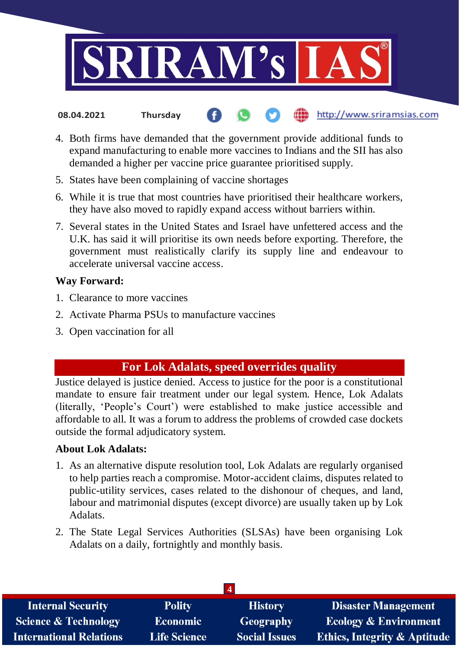

- http://www.sriramsias.com **08.04.2021 Thursday**
- 4. Both firms have demanded that the government provide additional funds to expand manufacturing to enable more vaccines to Indians and the SII has also demanded a higher per vaccine price guarantee prioritised supply.
- 5. States have been complaining of vaccine shortages
- 6. While it is true that most countries have prioritised their healthcare workers, they have also moved to rapidly expand access without barriers within.
- 7. Several states in the United States and Israel have unfettered access and the U.K. has said it will prioritise its own needs before exporting. Therefore, the government must realistically clarify its supply line and endeavour to accelerate universal vaccine access.

## **Way Forward:**

- 1. Clearance to more vaccines
- 2. Activate Pharma PSUs to manufacture vaccines
- 3. Open vaccination for all

# **For Lok Adalats, speed overrides quality**

Justice delayed is justice denied. Access to justice for the poor is a constitutional mandate to ensure fair treatment under our legal system. Hence, Lok Adalats (literally, 'People's Court') were established to make justice accessible and affordable to all. It was a forum to address the problems of crowded case dockets outside the formal adjudicatory system.

## **About Lok Adalats:**

- 1. As an alternative dispute resolution tool, Lok Adalats are regularly organised to help parties reach a compromise. Motor-accident claims, disputes related to public-utility services, cases related to the dishonour of cheques, and land, labour and matrimonial disputes (except divorce) are usually taken up by Lok Adalats.
- 2. The State Legal Services Authorities (SLSAs) have been organising Lok Adalats on a daily, fortnightly and monthly basis.

| <b>Internal Security</b>        | <b>Polity</b>       | <b>History</b>       | <b>Disaster Management</b>              |  |
|---------------------------------|---------------------|----------------------|-----------------------------------------|--|
| <b>Science &amp; Technology</b> | <b>Economic</b>     | <b>Geography</b>     | Ecology & Environment                   |  |
| <b>International Relations</b>  | <b>Life Science</b> | <b>Social Issues</b> | <b>Ethics, Integrity &amp; Aptitude</b> |  |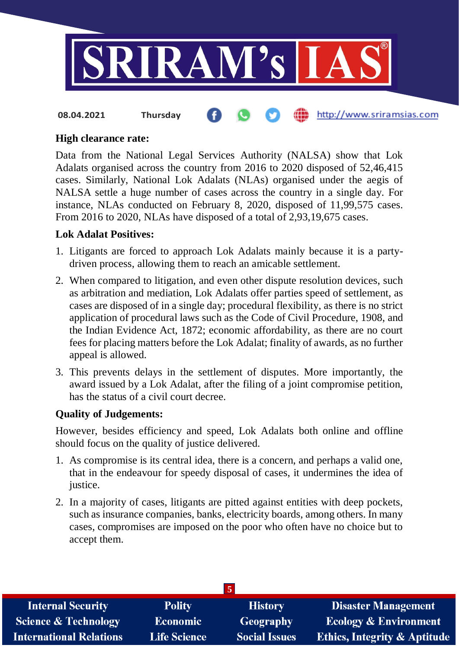

#### http://www.sriramsias.com **08.04.2021 Thursday**

#### **High clearance rate:**

Data from the National Legal Services Authority (NALSA) show that Lok Adalats organised across the country from 2016 to 2020 disposed of 52,46,415 cases. Similarly, National Lok Adalats (NLAs) organised under the aegis of NALSA settle a huge number of cases across the country in a single day. For instance, NLAs conducted on February 8, 2020, disposed of 11,99,575 cases. From 2016 to 2020, NLAs have disposed of a total of 2,93,19,675 cases.

#### **Lok Adalat Positives:**

- 1. Litigants are forced to approach Lok Adalats mainly because it is a partydriven process, allowing them to reach an amicable settlement.
- 2. When compared to litigation, and even other dispute resolution devices, such as arbitration and mediation, Lok Adalats offer parties speed of settlement, as cases are disposed of in a single day; procedural flexibility, as there is no strict application of procedural laws such as the Code of Civil Procedure, 1908, and the Indian Evidence Act, 1872; economic affordability, as there are no court fees for placing matters before the Lok Adalat; finality of awards, as no further appeal is allowed.
- 3. This prevents delays in the settlement of disputes. More importantly, the award issued by a Lok Adalat, after the filing of a joint compromise petition, has the status of a civil court decree.

#### **Quality of Judgements:**

However, besides efficiency and speed, Lok Adalats both online and offline should focus on the quality of justice delivered.

- 1. As compromise is its central idea, there is a concern, and perhaps a valid one, that in the endeavour for speedy disposal of cases, it undermines the idea of justice.
- 2. In a majority of cases, litigants are pitted against entities with deep pockets, such as insurance companies, banks, electricity boards, among others. In many cases, compromises are imposed on the poor who often have no choice but to accept them.

| $\overline{5}$                  |                     |                      |                                         |  |
|---------------------------------|---------------------|----------------------|-----------------------------------------|--|
| <b>Internal Security</b>        | <b>Polity</b>       | <b>History</b>       | <b>Disaster Management</b>              |  |
| <b>Science &amp; Technology</b> | <b>Economic</b>     | <b>Geography</b>     | <b>Ecology &amp; Environment</b>        |  |
| <b>International Relations</b>  | <b>Life Science</b> | <b>Social Issues</b> | <b>Ethics, Integrity &amp; Aptitude</b> |  |